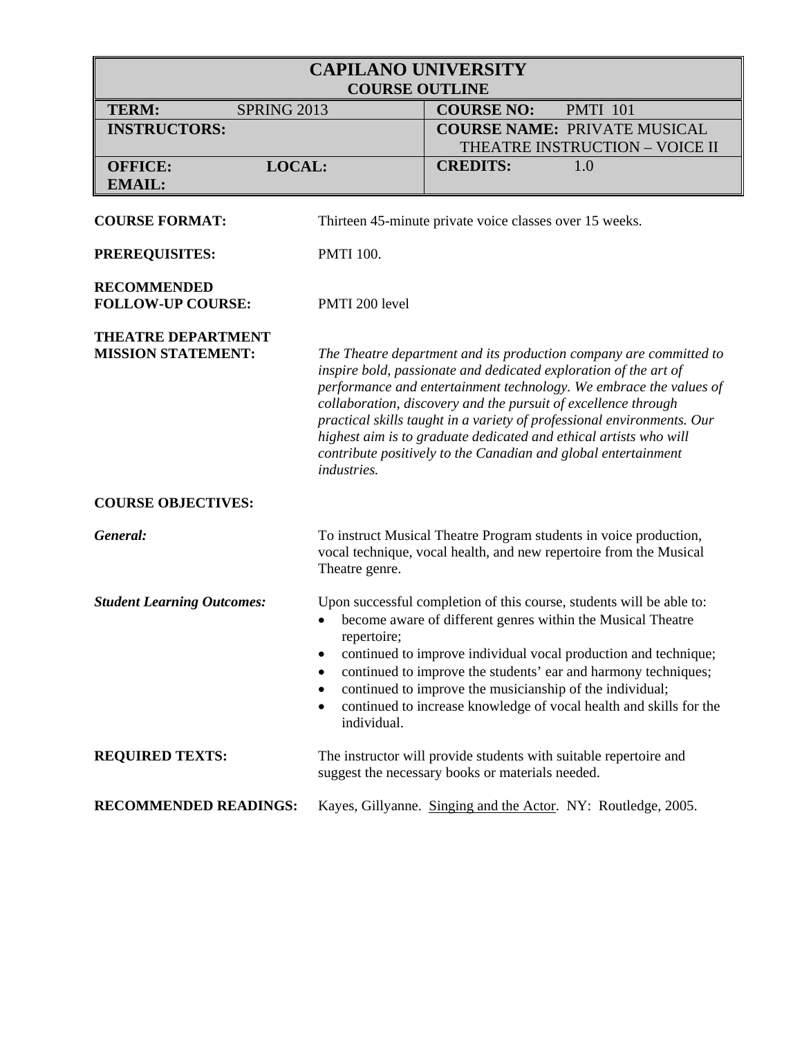| <b>CAPILANO UNIVERSITY</b><br><b>COURSE OUTLINE</b>    |                                                |                                                                                                                                                                                                                                                                                                                                                                                                                                                                                                 |
|--------------------------------------------------------|------------------------------------------------|-------------------------------------------------------------------------------------------------------------------------------------------------------------------------------------------------------------------------------------------------------------------------------------------------------------------------------------------------------------------------------------------------------------------------------------------------------------------------------------------------|
| <b>TERM:</b><br><b>SPRING 2013</b>                     |                                                | <b>COURSE NO:</b><br><b>PMTI 101</b>                                                                                                                                                                                                                                                                                                                                                                                                                                                            |
| <b>INSTRUCTORS:</b>                                    |                                                | <b>COURSE NAME: PRIVATE MUSICAL</b>                                                                                                                                                                                                                                                                                                                                                                                                                                                             |
|                                                        |                                                | THEATRE INSTRUCTION - VOICE II                                                                                                                                                                                                                                                                                                                                                                                                                                                                  |
| LOCAL:<br><b>OFFICE:</b>                               |                                                | <b>CREDITS:</b><br>1.0                                                                                                                                                                                                                                                                                                                                                                                                                                                                          |
| <b>EMAIL:</b>                                          |                                                |                                                                                                                                                                                                                                                                                                                                                                                                                                                                                                 |
| <b>COURSE FORMAT:</b>                                  |                                                | Thirteen 45-minute private voice classes over 15 weeks.                                                                                                                                                                                                                                                                                                                                                                                                                                         |
| <b>PREREQUISITES:</b>                                  | <b>PMTI 100.</b>                               |                                                                                                                                                                                                                                                                                                                                                                                                                                                                                                 |
| <b>RECOMMENDED</b><br><b>FOLLOW-UP COURSE:</b>         | PMTI 200 level                                 |                                                                                                                                                                                                                                                                                                                                                                                                                                                                                                 |
| <b>THEATRE DEPARTMENT</b><br><b>MISSION STATEMENT:</b> | <i>industries.</i>                             | The Theatre department and its production company are committed to<br>inspire bold, passionate and dedicated exploration of the art of<br>performance and entertainment technology. We embrace the values of<br>collaboration, discovery and the pursuit of excellence through<br>practical skills taught in a variety of professional environments. Our<br>highest aim is to graduate dedicated and ethical artists who will<br>contribute positively to the Canadian and global entertainment |
| <b>COURSE OBJECTIVES:</b>                              |                                                |                                                                                                                                                                                                                                                                                                                                                                                                                                                                                                 |
| General:                                               | Theatre genre.                                 | To instruct Musical Theatre Program students in voice production,<br>vocal technique, vocal health, and new repertoire from the Musical                                                                                                                                                                                                                                                                                                                                                         |
| <b>Student Learning Outcomes:</b>                      | repertoire;<br>٠<br>٠<br>٠<br>٠<br>individual. | Upon successful completion of this course, students will be able to:<br>become aware of different genres within the Musical Theatre<br>continued to improve individual vocal production and technique;<br>continued to improve the students' ear and harmony techniques;<br>continued to improve the musicianship of the individual;<br>continued to increase knowledge of vocal health and skills for the                                                                                      |
| <b>REQUIRED TEXTS:</b>                                 |                                                | The instructor will provide students with suitable repertoire and<br>suggest the necessary books or materials needed.                                                                                                                                                                                                                                                                                                                                                                           |
| <b>RECOMMENDED READINGS:</b>                           |                                                | Kayes, Gillyanne. Singing and the Actor. NY: Routledge, 2005.                                                                                                                                                                                                                                                                                                                                                                                                                                   |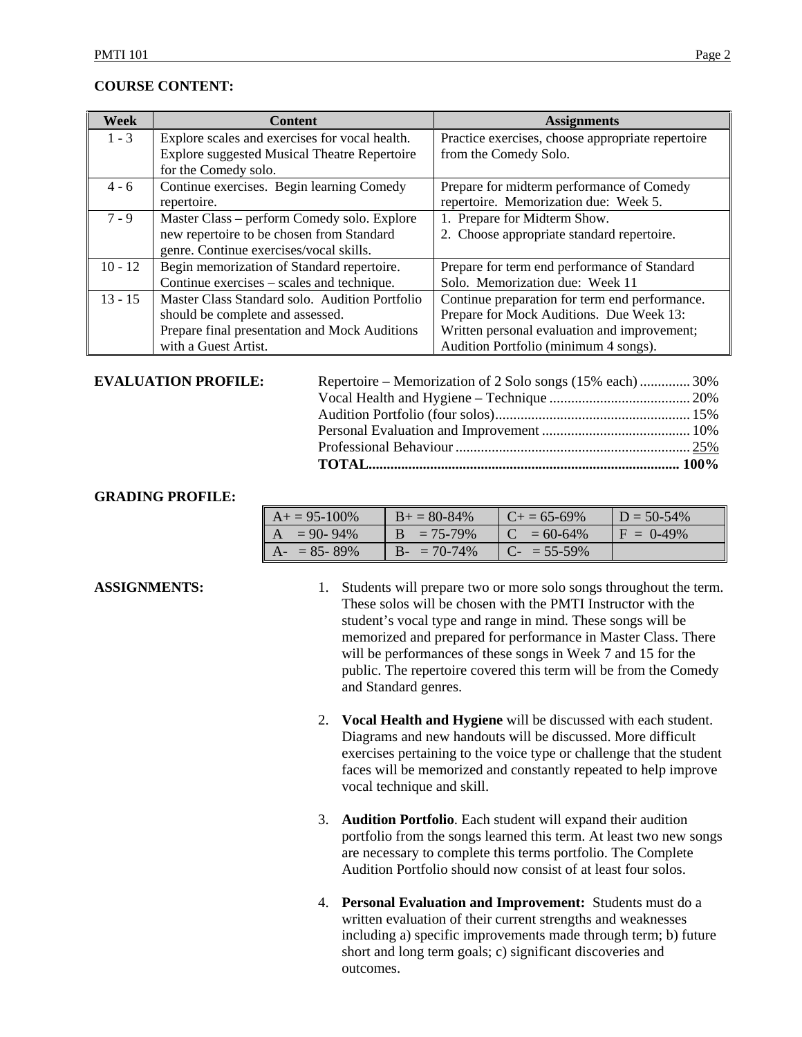### **COURSE CONTENT:**

| Week      | <b>Content</b>                                      | <b>Assignments</b>                                |
|-----------|-----------------------------------------------------|---------------------------------------------------|
| $1 - 3$   | Explore scales and exercises for vocal health.      | Practice exercises, choose appropriate repertoire |
|           | <b>Explore suggested Musical Theatre Repertoire</b> | from the Comedy Solo.                             |
|           | for the Comedy solo.                                |                                                   |
| $4 - 6$   | Continue exercises. Begin learning Comedy           | Prepare for midterm performance of Comedy         |
|           | repertoire.                                         | repertoire. Memorization due: Week 5.             |
| $7 - 9$   | Master Class – perform Comedy solo. Explore         | 1. Prepare for Midterm Show.                      |
|           | new repertoire to be chosen from Standard           | 2. Choose appropriate standard repertoire.        |
|           | genre. Continue exercises/vocal skills.             |                                                   |
| $10 - 12$ | Begin memorization of Standard repertoire.          | Prepare for term end performance of Standard      |
|           | Continue exercises – scales and technique.          | Solo. Memorization due: Week 11                   |
| $13 - 15$ | Master Class Standard solo. Audition Portfolio      | Continue preparation for term end performance.    |
|           | should be complete and assessed.                    | Prepare for Mock Auditions. Due Week 13:          |
|           | Prepare final presentation and Mock Auditions       | Written personal evaluation and improvement;      |
|           | with a Guest Artist.                                | Audition Portfolio (minimum 4 songs).             |

#### **EVALUATION PROFILE:**

| <b>EVALUATION PROFILE:</b> | Repertoire – Memorization of 2 Solo songs (15% each) 30% |  |
|----------------------------|----------------------------------------------------------|--|
|                            |                                                          |  |
|                            |                                                          |  |
|                            |                                                          |  |
|                            |                                                          |  |
|                            |                                                          |  |
|                            |                                                          |  |

### **GRADING PROFILE:**

| $A+=95-100\%$   | $B+=80-84\%$  | $C_{\pm} = 65 - 69\%$ | $D = 50 - 54\%$ |
|-----------------|---------------|-----------------------|-----------------|
| $A = 90 - 94\%$ | $B = 75-79\%$ | $C = 60-64\%$         | $F = 0.49\%$    |
| $A - 85 - 89\%$ | $B - 70-74\%$ | $C_{-}$ = 55-59%      |                 |

- **ASSIGNMENTS:** 1. Students will prepare two or more solo songs throughout the term. These solos will be chosen with the PMTI Instructor with the student's vocal type and range in mind. These songs will be memorized and prepared for performance in Master Class. There will be performances of these songs in Week 7 and 15 for the public. The repertoire covered this term will be from the Comedy and Standard genres.
	- 2. **Vocal Health and Hygiene** will be discussed with each student. Diagrams and new handouts will be discussed. More difficult exercises pertaining to the voice type or challenge that the student faces will be memorized and constantly repeated to help improve vocal technique and skill.
	- 3. **Audition Portfolio**. Each student will expand their audition portfolio from the songs learned this term. At least two new songs are necessary to complete this terms portfolio. The Complete Audition Portfolio should now consist of at least four solos.
	- 4. **Personal Evaluation and Improvement:** Students must do a written evaluation of their current strengths and weaknesses including a) specific improvements made through term; b) future short and long term goals; c) significant discoveries and outcomes.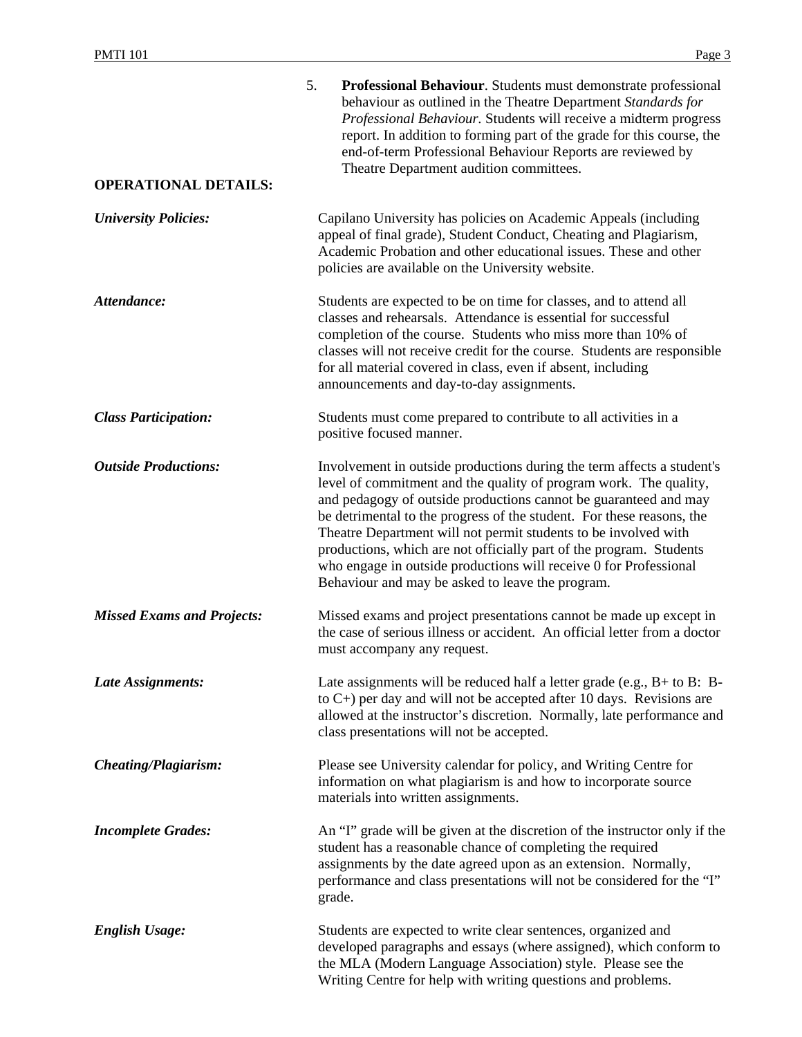| <b>OPERATIONAL DETAILS:</b>       | 5.<br><b>Professional Behaviour.</b> Students must demonstrate professional<br>behaviour as outlined in the Theatre Department Standards for<br>Professional Behaviour. Students will receive a midterm progress<br>report. In addition to forming part of the grade for this course, the<br>end-of-term Professional Behaviour Reports are reviewed by<br>Theatre Department audition committees.                                                                                                                                                          |
|-----------------------------------|-------------------------------------------------------------------------------------------------------------------------------------------------------------------------------------------------------------------------------------------------------------------------------------------------------------------------------------------------------------------------------------------------------------------------------------------------------------------------------------------------------------------------------------------------------------|
|                                   |                                                                                                                                                                                                                                                                                                                                                                                                                                                                                                                                                             |
| <b>University Policies:</b>       | Capilano University has policies on Academic Appeals (including<br>appeal of final grade), Student Conduct, Cheating and Plagiarism,<br>Academic Probation and other educational issues. These and other<br>policies are available on the University website.                                                                                                                                                                                                                                                                                               |
| Attendance:                       | Students are expected to be on time for classes, and to attend all<br>classes and rehearsals. Attendance is essential for successful<br>completion of the course. Students who miss more than 10% of<br>classes will not receive credit for the course. Students are responsible<br>for all material covered in class, even if absent, including<br>announcements and day-to-day assignments.                                                                                                                                                               |
| <b>Class Participation:</b>       | Students must come prepared to contribute to all activities in a<br>positive focused manner.                                                                                                                                                                                                                                                                                                                                                                                                                                                                |
| <b>Outside Productions:</b>       | Involvement in outside productions during the term affects a student's<br>level of commitment and the quality of program work. The quality,<br>and pedagogy of outside productions cannot be guaranteed and may<br>be detrimental to the progress of the student. For these reasons, the<br>Theatre Department will not permit students to be involved with<br>productions, which are not officially part of the program. Students<br>who engage in outside productions will receive 0 for Professional<br>Behaviour and may be asked to leave the program. |
| <b>Missed Exams and Projects:</b> | Missed exams and project presentations cannot be made up except in<br>the case of serious illness or accident. An official letter from a doctor<br>must accompany any request.                                                                                                                                                                                                                                                                                                                                                                              |
| Late Assignments:                 | Late assignments will be reduced half a letter grade (e.g., $B+$ to $B$ : $B-$<br>to $C$ +) per day and will not be accepted after 10 days. Revisions are<br>allowed at the instructor's discretion. Normally, late performance and<br>class presentations will not be accepted.                                                                                                                                                                                                                                                                            |
| Cheating/Plagiarism:              | Please see University calendar for policy, and Writing Centre for<br>information on what plagiarism is and how to incorporate source<br>materials into written assignments.                                                                                                                                                                                                                                                                                                                                                                                 |
| <b>Incomplete Grades:</b>         | An "I" grade will be given at the discretion of the instructor only if the<br>student has a reasonable chance of completing the required<br>assignments by the date agreed upon as an extension. Normally,<br>performance and class presentations will not be considered for the "I"<br>grade.                                                                                                                                                                                                                                                              |
| <b>English Usage:</b>             | Students are expected to write clear sentences, organized and<br>developed paragraphs and essays (where assigned), which conform to<br>the MLA (Modern Language Association) style. Please see the<br>Writing Centre for help with writing questions and problems.                                                                                                                                                                                                                                                                                          |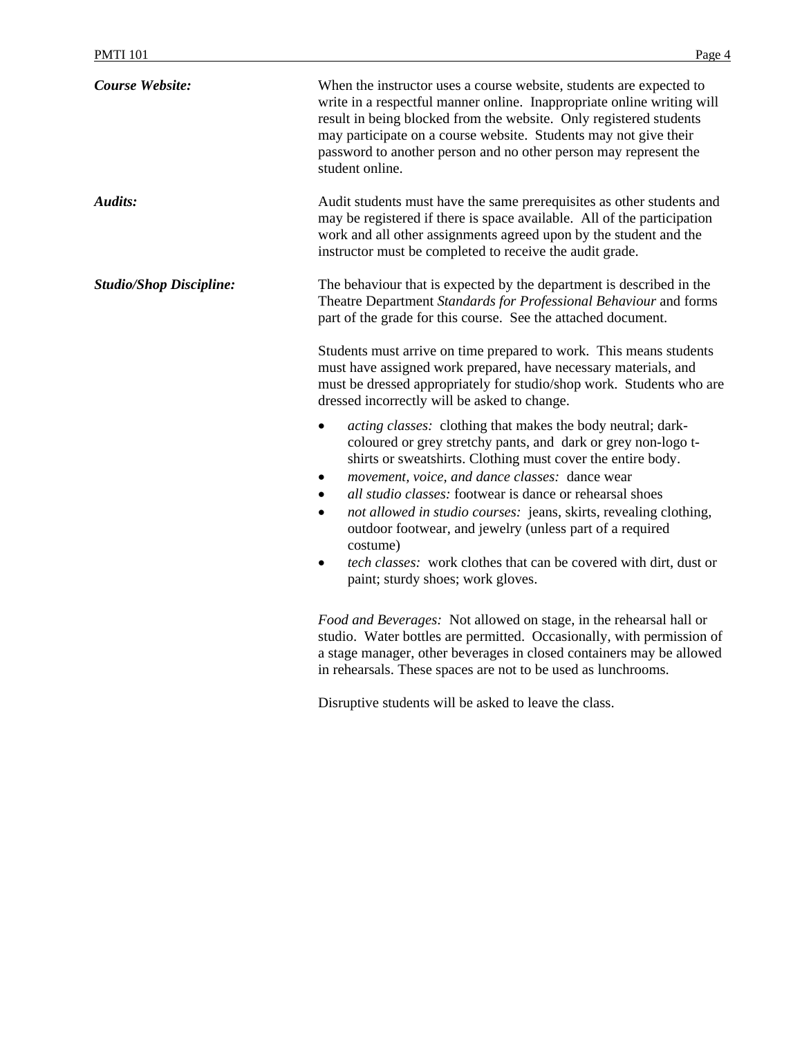| Course Website:                | When the instructor uses a course website, students are expected to<br>write in a respectful manner online. Inappropriate online writing will<br>result in being blocked from the website. Only registered students<br>may participate on a course website. Students may not give their<br>password to another person and no other person may represent the<br>student online.                                                                                                                                                                                                                 |
|--------------------------------|------------------------------------------------------------------------------------------------------------------------------------------------------------------------------------------------------------------------------------------------------------------------------------------------------------------------------------------------------------------------------------------------------------------------------------------------------------------------------------------------------------------------------------------------------------------------------------------------|
| Audits:                        | Audit students must have the same prerequisites as other students and<br>may be registered if there is space available. All of the participation<br>work and all other assignments agreed upon by the student and the<br>instructor must be completed to receive the audit grade.                                                                                                                                                                                                                                                                                                              |
| <b>Studio/Shop Discipline:</b> | The behaviour that is expected by the department is described in the<br>Theatre Department Standards for Professional Behaviour and forms<br>part of the grade for this course. See the attached document.                                                                                                                                                                                                                                                                                                                                                                                     |
|                                | Students must arrive on time prepared to work. This means students<br>must have assigned work prepared, have necessary materials, and<br>must be dressed appropriately for studio/shop work. Students who are<br>dressed incorrectly will be asked to change.                                                                                                                                                                                                                                                                                                                                  |
|                                | acting classes: clothing that makes the body neutral; dark-<br>coloured or grey stretchy pants, and dark or grey non-logo t-<br>shirts or sweatshirts. Clothing must cover the entire body.<br>movement, voice, and dance classes: dance wear<br>٠<br><i>all studio classes:</i> footwear is dance or rehearsal shoes<br>not allowed in studio courses: jeans, skirts, revealing clothing,<br>٠<br>outdoor footwear, and jewelry (unless part of a required<br>costume)<br>tech classes: work clothes that can be covered with dirt, dust or<br>$\bullet$<br>paint; sturdy shoes; work gloves. |
|                                | Food and Beverages: Not allowed on stage, in the rehearsal hall or<br>studio. Water bottles are permitted. Occasionally, with permission of<br>a stage manager, other beverages in closed containers may be allowed<br>in rehearsals. These spaces are not to be used as lunchrooms.                                                                                                                                                                                                                                                                                                           |

Disruptive students will be asked to leave the class.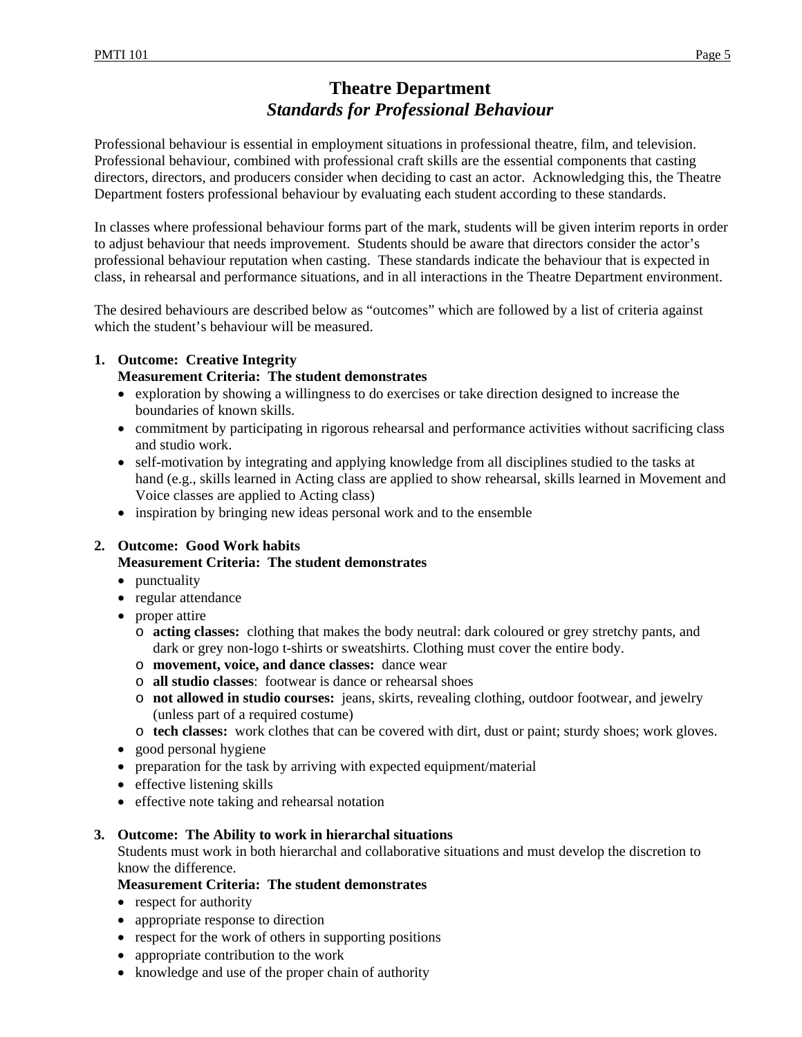# **Theatre Department**  *Standards for Professional Behaviour*

Professional behaviour is essential in employment situations in professional theatre, film, and television. Professional behaviour, combined with professional craft skills are the essential components that casting directors, directors, and producers consider when deciding to cast an actor. Acknowledging this, the Theatre Department fosters professional behaviour by evaluating each student according to these standards.

In classes where professional behaviour forms part of the mark, students will be given interim reports in order to adjust behaviour that needs improvement. Students should be aware that directors consider the actor's professional behaviour reputation when casting. These standards indicate the behaviour that is expected in class, in rehearsal and performance situations, and in all interactions in the Theatre Department environment.

The desired behaviours are described below as "outcomes" which are followed by a list of criteria against which the student's behaviour will be measured.

# **1. Outcome: Creative Integrity Measurement Criteria: The student demonstrates**

- exploration by showing a willingness to do exercises or take direction designed to increase the boundaries of known skills.
- commitment by participating in rigorous rehearsal and performance activities without sacrificing class and studio work.
- self-motivation by integrating and applying knowledge from all disciplines studied to the tasks at hand (e.g., skills learned in Acting class are applied to show rehearsal, skills learned in Movement and Voice classes are applied to Acting class)
- inspiration by bringing new ideas personal work and to the ensemble

# **2. Outcome: Good Work habits**

### **Measurement Criteria: The student demonstrates**

- punctuality
- regular attendance
- proper attire
	- o **acting classes:** clothing that makes the body neutral: dark coloured or grey stretchy pants, and dark or grey non-logo t-shirts or sweatshirts. Clothing must cover the entire body.
	- o **movement, voice, and dance classes:** dance wear
	- o **all studio classes**: footwear is dance or rehearsal shoes
	- o **not allowed in studio courses:** jeans, skirts, revealing clothing, outdoor footwear, and jewelry (unless part of a required costume)
	- o **tech classes:** work clothes that can be covered with dirt, dust or paint; sturdy shoes; work gloves.
- good personal hygiene
- preparation for the task by arriving with expected equipment/material
- effective listening skills
- effective note taking and rehearsal notation

### **3. Outcome: The Ability to work in hierarchal situations**

Students must work in both hierarchal and collaborative situations and must develop the discretion to know the difference.

# **Measurement Criteria: The student demonstrates**

- respect for authority
- appropriate response to direction
- respect for the work of others in supporting positions
- appropriate contribution to the work
- knowledge and use of the proper chain of authority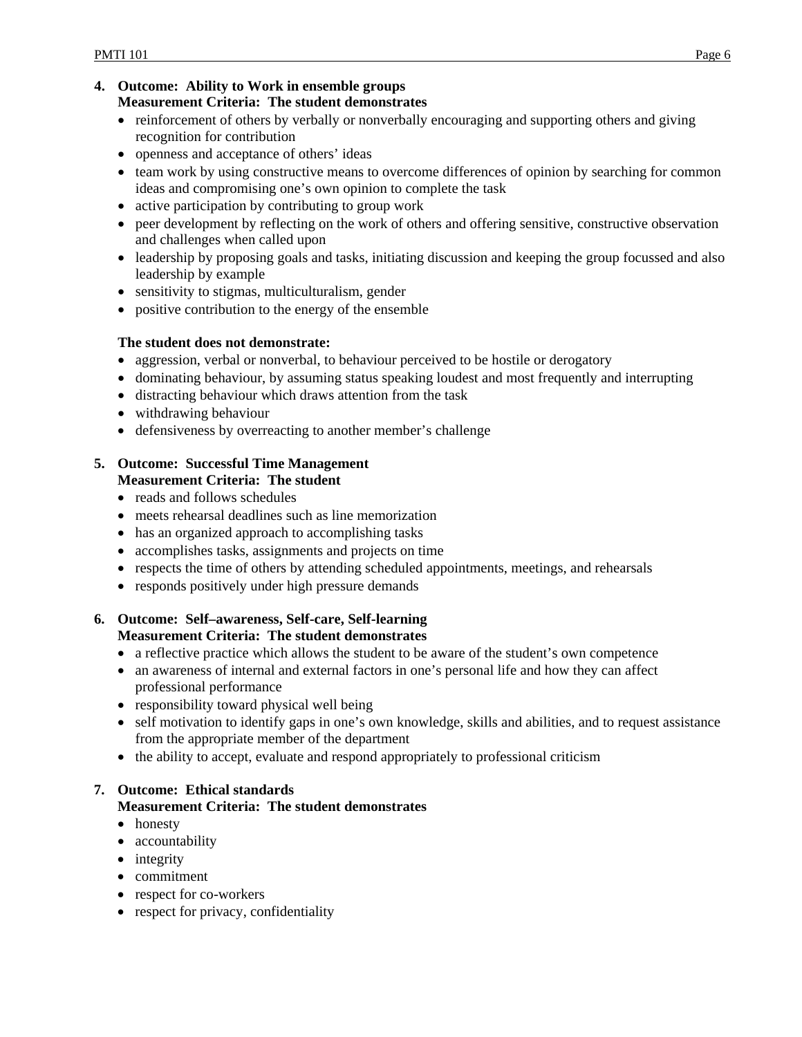#### **4. Outcome: Ability to Work in ensemble groups Measurement Criteria: The student demonstrates**

- reinforcement of others by verbally or nonverbally encouraging and supporting others and giving recognition for contribution
- openness and acceptance of others' ideas
- team work by using constructive means to overcome differences of opinion by searching for common ideas and compromising one's own opinion to complete the task
- active participation by contributing to group work
- peer development by reflecting on the work of others and offering sensitive, constructive observation and challenges when called upon
- leadership by proposing goals and tasks, initiating discussion and keeping the group focussed and also leadership by example
- sensitivity to stigmas, multiculturalism, gender
- positive contribution to the energy of the ensemble

### **The student does not demonstrate:**

- aggression, verbal or nonverbal, to behaviour perceived to be hostile or derogatory
- dominating behaviour, by assuming status speaking loudest and most frequently and interrupting
- distracting behaviour which draws attention from the task
- withdrawing behaviour
- defensiveness by overreacting to another member's challenge

#### **5. Outcome: Successful Time Management Measurement Criteria: The student**

- reads and follows schedules
- meets rehearsal deadlines such as line memorization
- has an organized approach to accomplishing tasks
- accomplishes tasks, assignments and projects on time
- respects the time of others by attending scheduled appointments, meetings, and rehearsals
- responds positively under high pressure demands

# **6. Outcome: Self–awareness, Self-care, Self-learning Measurement Criteria: The student demonstrates**

- a reflective practice which allows the student to be aware of the student's own competence
- an awareness of internal and external factors in one's personal life and how they can affect professional performance
- responsibility toward physical well being
- self motivation to identify gaps in one's own knowledge, skills and abilities, and to request assistance from the appropriate member of the department
- the ability to accept, evaluate and respond appropriately to professional criticism

# **7. Outcome: Ethical standards Measurement Criteria: The student demonstrates**

- honesty
- accountability
- integrity
- commitment
- respect for co-workers
- respect for privacy, confidentiality